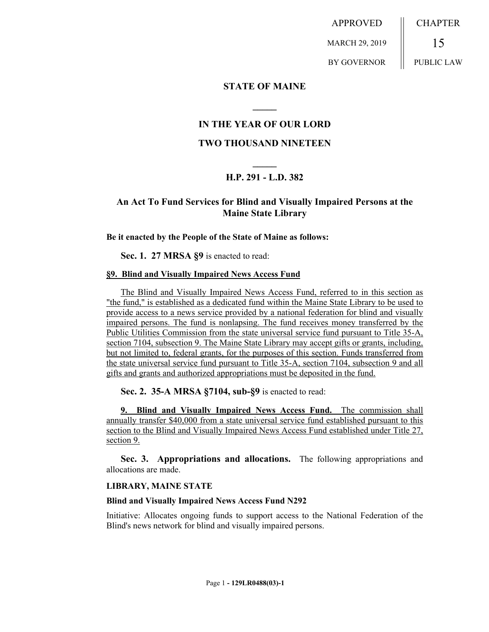APPROVED MARCH 29, 2019 BY GOVERNOR **CHAPTER** 15 PUBLIC LAW

## **STATE OF MAINE**

# **IN THE YEAR OF OUR LORD**

**\_\_\_\_\_**

### **TWO THOUSAND NINETEEN**

# **\_\_\_\_\_ H.P. 291 - L.D. 382**

# **An Act To Fund Services for Blind and Visually Impaired Persons at the Maine State Library**

### **Be it enacted by the People of the State of Maine as follows:**

**Sec. 1. 27 MRSA §9** is enacted to read:

### **§9. Blind and Visually Impaired News Access Fund**

The Blind and Visually Impaired News Access Fund, referred to in this section as "the fund," is established as a dedicated fund within the Maine State Library to be used to provide access to a news service provided by a national federation for blind and visually impaired persons. The fund is nonlapsing. The fund receives money transferred by the Public Utilities Commission from the state universal service fund pursuant to Title 35-A, section 7104, subsection 9. The Maine State Library may accept gifts or grants, including, but not limited to, federal grants, for the purposes of this section. Funds transferred from the state universal service fund pursuant to Title 35-A, section 7104, subsection 9 and all gifts and grants and authorized appropriations must be deposited in the fund.

**Sec. 2. 35-A MRSA §7104, sub-§9** is enacted to read:

**9. Blind and Visually Impaired News Access Fund.** The commission shall annually transfer \$40,000 from a state universal service fund established pursuant to this section to the Blind and Visually Impaired News Access Fund established under Title 27, section 9.

**Sec. 3. Appropriations and allocations.** The following appropriations and allocations are made.

### **LIBRARY, MAINE STATE**

#### **Blind and Visually Impaired News Access Fund N292**

Initiative: Allocates ongoing funds to support access to the National Federation of the Blind's news network for blind and visually impaired persons.